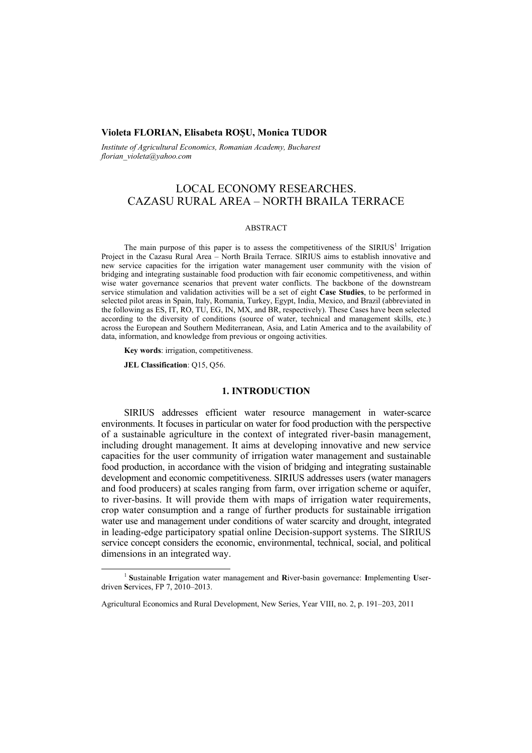## **Violeta FLORIAN, Elisabeta ROŞU, Monica TUDOR**

*Institute of Agricultural Economics, Romanian Academy, Bucharest florian\_violeta@yahoo.com* 

# LOCAL ECONOMY RESEARCHES. CAZASU RURAL AREA – NORTH BRAILA TERRACE

#### ABSTRACT

The main purpose of this paper is to assess the competitiveness of the  $SIRIUS<sup>1</sup>$  Irrigation Project in the Cazasu Rural Area – North Braila Terrace. SIRIUS aims to establish innovative and new service capacities for the irrigation water management user community with the vision of bridging and integrating sustainable food production with fair economic competitiveness, and within wise water governance scenarios that prevent water conflicts. The backbone of the downstream service stimulation and validation activities will be a set of eight **Case Studies**, to be performed in selected pilot areas in Spain, Italy, Romania, Turkey, Egypt, India, Mexico, and Brazil (abbreviated in the following as ES, IT, RO, TU, EG, IN, MX, and BR, respectively). These Cases have been selected according to the diversity of conditions (source of water, technical and management skills, etc.) across the European and Southern Mediterranean, Asia, and Latin America and to the availability of data, information, and knowledge from previous or ongoing activities.

**Key words**: irrigation, competitiveness.

**JEL Classification**: Q15, Q56.

### **1. INTRODUCTION**

SIRIUS addresses efficient water resource management in water-scarce environments. It focuses in particular on water for food production with the perspective of a sustainable agriculture in the context of integrated river-basin management, including drought management. It aims at developing innovative and new service capacities for the user community of irrigation water management and sustainable food production, in accordance with the vision of bridging and integrating sustainable development and economic competitiveness. SIRIUS addresses users (water managers and food producers) at scales ranging from farm, over irrigation scheme or aquifer, to river-basins. It will provide them with maps of irrigation water requirements, crop water consumption and a range of further products for sustainable irrigation water use and management under conditions of water scarcity and drought, integrated in leading-edge participatory spatial online Decision-support systems. The SIRIUS service concept considers the economic, environmental, technical, social, and political dimensions in an integrated way.

 $\frac{1}{1}$  **S**ustainable **I**rrigation water management and **R**iver-basin governance: **I**mplementing **U**serdriven **S**ervices, FP 7, 2010–2013.

Agricultural Economics and Rural Development, New Series, Year VIII, no. 2, p. 191–203, 2011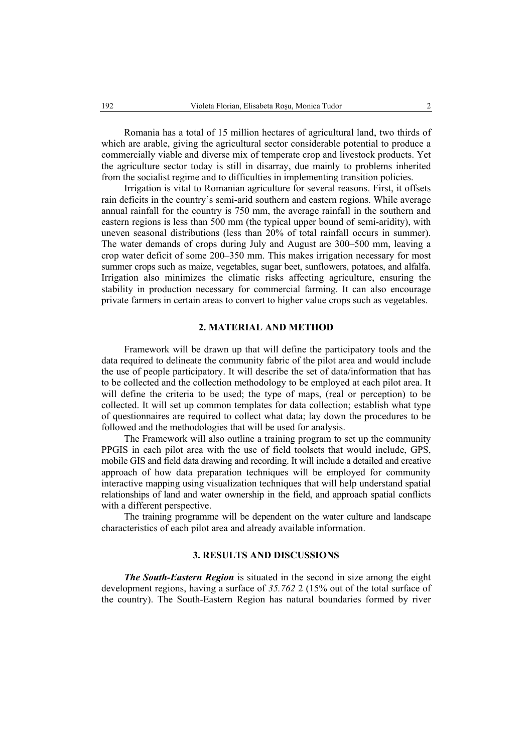Romania has a total of 15 million hectares of agricultural land, two thirds of which are arable, giving the agricultural sector considerable potential to produce a commercially viable and diverse mix of temperate crop and livestock products. Yet the agriculture sector today is still in disarray, due mainly to problems inherited from the socialist regime and to difficulties in implementing transition policies.

Irrigation is vital to Romanian agriculture for several reasons. First, it offsets rain deficits in the country's semi-arid southern and eastern regions. While average annual rainfall for the country is 750 mm, the average rainfall in the southern and eastern regions is less than 500 mm (the typical upper bound of semi-aridity), with uneven seasonal distributions (less than 20% of total rainfall occurs in summer). The water demands of crops during July and August are 300–500 mm, leaving a crop water deficit of some 200–350 mm. This makes irrigation necessary for most summer crops such as maize, vegetables, sugar beet, sunflowers, potatoes, and alfalfa. Irrigation also minimizes the climatic risks affecting agriculture, ensuring the stability in production necessary for commercial farming. It can also encourage private farmers in certain areas to convert to higher value crops such as vegetables.

# **2. MATERIAL AND METHOD**

Framework will be drawn up that will define the participatory tools and the data required to delineate the community fabric of the pilot area and would include the use of people participatory. It will describe the set of data/information that has to be collected and the collection methodology to be employed at each pilot area. It will define the criteria to be used; the type of maps, (real or perception) to be collected. It will set up common templates for data collection; establish what type of questionnaires are required to collect what data; lay down the procedures to be followed and the methodologies that will be used for analysis.

The Framework will also outline a training program to set up the community PPGIS in each pilot area with the use of field toolsets that would include, GPS, mobile GIS and field data drawing and recording. It will include a detailed and creative approach of how data preparation techniques will be employed for community interactive mapping using visualization techniques that will help understand spatial relationships of land and water ownership in the field, and approach spatial conflicts with a different perspective.

The training programme will be dependent on the water culture and landscape characteristics of each pilot area and already available information.

# **3. RESULTS AND DISCUSSIONS**

*The South-Eastern Region* is situated in the second in size among the eight development regions, having a surface of *35.762* 2 (15% out of the total surface of the country). The South-Eastern Region has natural boundaries formed by river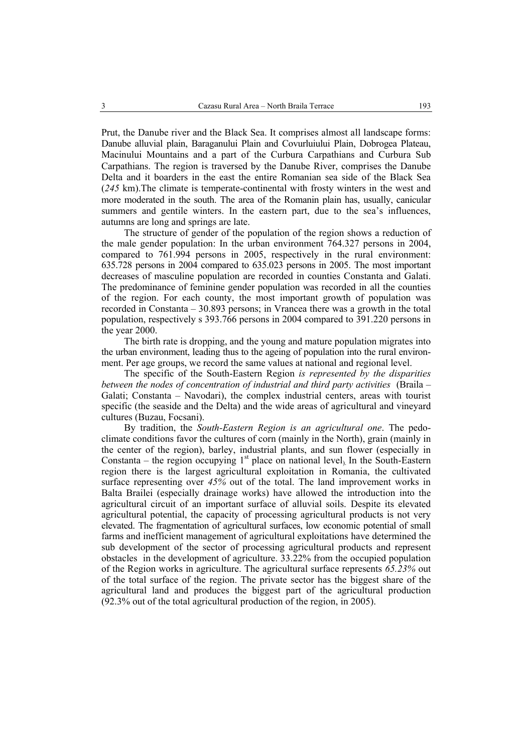Prut, the Danube river and the Black Sea. It comprises almost all landscape forms: Danube alluvial plain, Baraganului Plain and Covurluiului Plain, Dobrogea Plateau, Macinului Mountains and a part of the Curbura Carpathians and Curbura Sub Carpathians. The region is traversed by the Danube River, comprises the Danube Delta and it boarders in the east the entire Romanian sea side of the Black Sea (*245* km).The climate is temperate-continental with frosty winters in the west and more moderated in the south. The area of the Romanin plain has, usually, canicular summers and gentile winters. In the eastern part, due to the sea's influences, autumns are long and springs are late.

The structure of gender of the population of the region shows a reduction of the male gender population: In the urban environment 764.327 persons in 2004, compared to 761.994 persons in 2005, respectively in the rural environment: 635.728 persons in 2004 compared to 635.023 persons in 2005. The most important decreases of masculine population are recorded in counties Constanta and Galati. The predominance of feminine gender population was recorded in all the counties of the region. For each county, the most important growth of population was recorded in Constanta – 30.893 persons; in Vrancea there was a growth in the total population, respectively s 393.766 persons in 2004 compared to 391.220 persons in the year 2000.

The birth rate is dropping, and the young and mature population migrates into the urban environment, leading thus to the ageing of population into the rural environment. Per age groups, we record the same values at national and regional level.

The specific of the South-Eastern Region *is represented by the disparities between the nodes of concentration of industrial and third party activities* (Braila – Galati; Constanta – Navodari), the complex industrial centers, areas with tourist specific (the seaside and the Delta) and the wide areas of agricultural and vineyard cultures (Buzau, Focsani).

By tradition, the *South-Eastern Region is an agricultural one*. The pedoclimate conditions favor the cultures of corn (mainly in the North), grain (mainly in the center of the region), barley, industrial plants, and sun flower (especially in Constanta – the region occupying  $1<sup>st</sup>$  place on national level). In the South-Eastern region there is the largest agricultural exploitation in Romania, the cultivated surface representing over *45%* out of the total. The land improvement works in Balta Brailei (especially drainage works) have allowed the introduction into the agricultural circuit of an important surface of alluvial soils. Despite its elevated agricultural potential, the capacity of processing agricultural products is not very elevated. The fragmentation of agricultural surfaces, low economic potential of small farms and inefficient management of agricultural exploitations have determined the sub development of the sector of processing agricultural products and represent obstacles in the development of agriculture. 33.22% from the occupied population of the Region works in agriculture. The agricultural surface represents *65.23%* out of the total surface of the region. The private sector has the biggest share of the agricultural land and produces the biggest part of the agricultural production (92.3% out of the total agricultural production of the region, in 2005).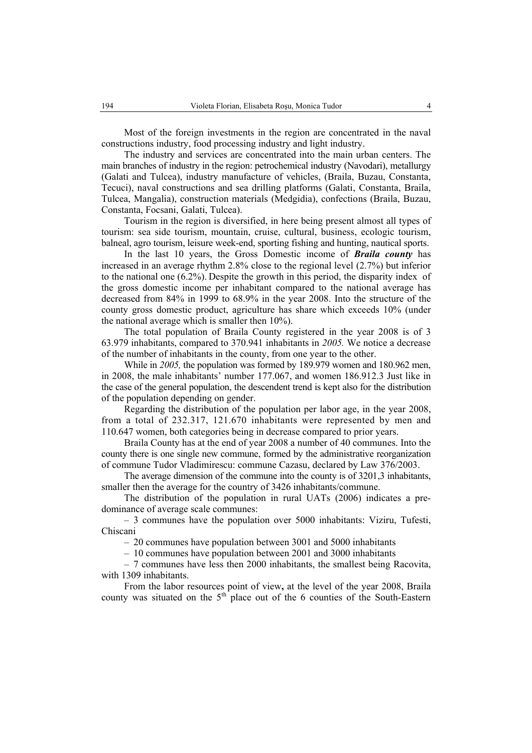Most of the foreign investments in the region are concentrated in the naval constructions industry, food processing industry and light industry.

The industry and services are concentrated into the main urban centers. The main branches of industry in the region: petrochemical industry (Navodari), metallurgy (Galati and Tulcea), industry manufacture of vehicles, (Braila, Buzau, Constanta, Tecuci), naval constructions and sea drilling platforms (Galati, Constanta, Braila, Tulcea, Mangalia), construction materials (Medgidia), confections (Braila, Buzau, Constanta, Focsani, Galati, Tulcea).

Tourism in the region is diversified, in here being present almost all types of tourism: sea side tourism, mountain, cruise, cultural, business, ecologic tourism, balneal, agro tourism, leisure week-end, sporting fishing and hunting, nautical sports.

In the last 10 years, the Gross Domestic income of *Braila county* has increased in an average rhythm 2.8% close to the regional level (2.7%) but inferior to the national one (6.2%). Despite the growth in this period, the disparity index of the gross domestic income per inhabitant compared to the national average has decreased from 84% in 1999 to 68.9% in the year 2008. Into the structure of the county gross domestic product, agriculture has share which exceeds 10% (under the national average which is smaller then 10%).

The total population of Braila County registered in the year 2008 is of 3 63.979 inhabitants, compared to 370.941 inhabitants in *2005.* We notice a decrease of the number of inhabitants in the county, from one year to the other.

While in *2005,* the population was formed by 189.979 women and 180.962 men, in 2008, the male inhabitants' number 177.067, and women 186.912.3 Just like in the case of the general population, the descendent trend is kept also for the distribution of the population depending on gender.

Regarding the distribution of the population per labor age, in the year 2008, from a total of 232.317, 121.670 inhabitants were represented by men and 110.647 women, both categories being in decrease compared to prior years.

Braila County has at the end of year 2008 a number of 40 communes. Into the county there is one single new commune, formed by the administrative reorganization of commune Tudor Vladimirescu: commune Cazasu, declared by Law 376/2003.

The average dimension of the commune into the county is of 3201,3 inhabitants, smaller then the average for the country of 3426 inhabitants/commune.

The distribution of the population in rural UATs (2006) indicates a predominance of average scale communes:

– 3 communes have the population over 5000 inhabitants: Viziru, Tufesti, Chiscani

– 20 communes have population between 3001 and 5000 inhabitants

– 10 communes have population between 2001 and 3000 inhabitants

– 7 communes have less then 2000 inhabitants, the smallest being Racovita, with 1309 inhabitants.

From the labor resources point of view**,** at the level of the year 2008, Braila county was situated on the 5<sup>th</sup> place out of the 6 counties of the South-Eastern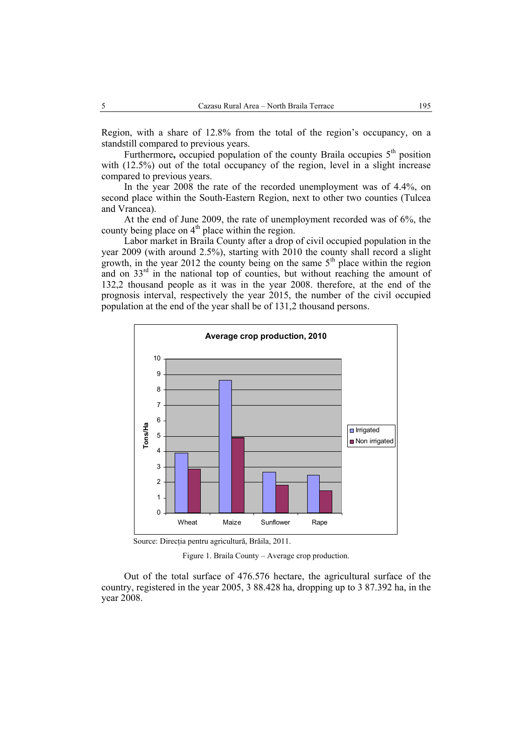Region, with a share of 12.8% from the total of the region's occupancy, on a standstill compared to previous years.

Furthermore, occupied population of the county Braila occupies 5<sup>th</sup> position with  $(12.5\%)$  out of the total occupancy of the region, level in a slight increase compared to previous years.

In the year 2008 the rate of the recorded unemployment was of 4.4%, on second place within the South-Eastern Region, next to other two counties (Tulcea and Vrancea).

At the end of June 2009, the rate of unemployment recorded was of 6%, the county being place on  $4<sup>th</sup>$  place within the region.

Labor market in Braila County after a drop of civil occupied population in the year 2009 (with around 2.5%), starting with 2010 the county shall record a slight growth, in the year 2012 the county being on the same  $5<sup>th</sup>$  place within the region and on  $33<sup>rd</sup>$  in the national top of counties, but without reaching the amount of 132,2 thousand people as it was in the year 2008. therefore, at the end of the prognosis interval, respectively the year 2015, the number of the civil occupied population at the end of the year shall be of 131,2 thousand persons.



Source: Direcţia pentru agricultură, Brăila, 2011.

Figure 1. Braila County – Average crop production.

Out of the total surface of 476.576 hectare, the agricultural surface of the country, registered in the year 2005, 3 88.428 ha, dropping up to 3 87.392 ha, in the year 2008.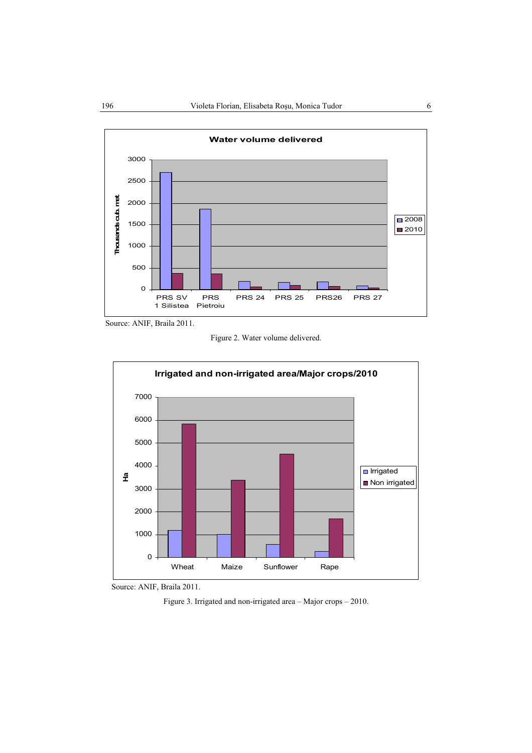

Source: ANIF, Braila 2011.

Figure 2. Water volume delivered.





Figure 3. Irrigated and non-irrigated area – Major crops – 2010.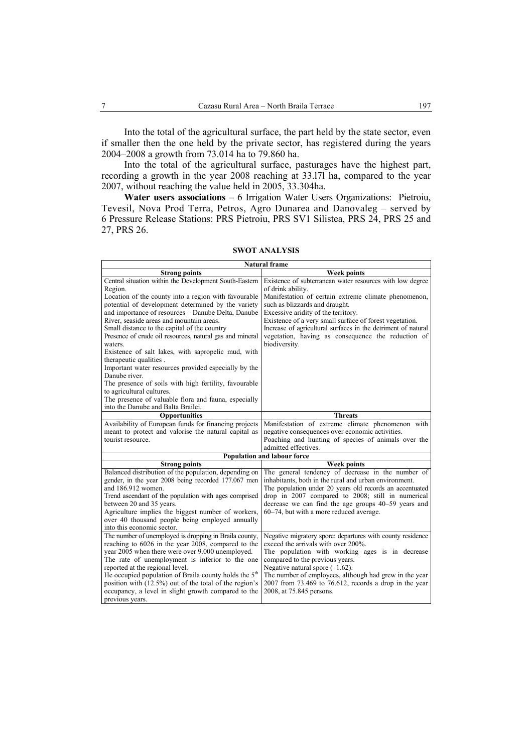Into the total of the agricultural surface, the part held by the state sector, even if smaller then the one held by the private sector, has registered during the years 2004–2008 a growth from 73.014 ha to 79.860 ha.

Into the total of the agricultural surface, pasturages have the highest part, recording a growth in the year 2008 reaching at 33.l7l ha, compared to the year 2007, without reaching the value held in 2005, 33.304ha.

Water users associations - 6 Irrigation Water Users Organizations: Pietroiu, Tevesil, Nova Prod Terra, Petros, Agro Dunarea and Danovaleg – served by 6 Pressure Release Stations: PRS Pietroiu, PRS SV1 Silistea, PRS 24, PRS 25 and 27, PRS 26.

| <b>Natural frame</b>                                                      |                                                                                                        |
|---------------------------------------------------------------------------|--------------------------------------------------------------------------------------------------------|
| <b>Strong points</b>                                                      | <b>Week points</b>                                                                                     |
| Central situation within the Development South-Eastern                    | Existence of subterranean water resources with low degree                                              |
| Region.                                                                   | of drink ability.                                                                                      |
| Location of the county into a region with favourable                      | Manifestation of certain extreme climate phenomenon,                                                   |
| potential of development determined by the variety                        | such as blizzards and draught.                                                                         |
| and importance of resources - Danube Delta, Danube                        | Excessive aridity of the territory.                                                                    |
| River, seaside areas and mountain areas.                                  | Existence of a very small surface of forest vegetation.                                                |
| Small distance to the capital of the country                              | Increase of agricultural surfaces in the detriment of natural                                          |
| Presence of crude oil resources, natural gas and mineral                  | vegetation, having as consequence the reduction of                                                     |
| waters.                                                                   | biodiversity.                                                                                          |
| Existence of salt lakes, with sapropelic mud, with                        |                                                                                                        |
| therapeutic qualities.                                                    |                                                                                                        |
| Important water resources provided especially by the                      |                                                                                                        |
| Danube river.                                                             |                                                                                                        |
| The presence of soils with high fertility, favourable                     |                                                                                                        |
| to agricultural cultures.                                                 |                                                                                                        |
| The presence of valuable flora and fauna, especially                      |                                                                                                        |
| into the Danube and Balta Brailei.                                        | <b>Threats</b>                                                                                         |
| <b>Opportunities</b>                                                      |                                                                                                        |
| Availability of European funds for financing projects                     | Manifestation of extreme climate phenomenon with                                                       |
| meant to protect and valorise the natural capital as<br>tourist resource. | negative consequences over economic activities.<br>Poaching and hunting of species of animals over the |
|                                                                           | admitted effectives.                                                                                   |
|                                                                           | Population and labour force                                                                            |
| <b>Strong points</b>                                                      | <b>Week points</b>                                                                                     |
| Balanced distribution of the population, depending on                     | The general tendency of decrease in the number of                                                      |
| gender, in the year 2008 being recorded 177.067 men                       | inhabitants, both in the rural and urban environment.                                                  |
| and 186.912 women.                                                        | The population under 20 years old records an accentuated                                               |
| Trend ascendant of the population with ages comprised                     | drop in 2007 compared to 2008; still in numerical                                                      |
| between 20 and 35 years.                                                  | decrease we can find the age groups 40–59 years and                                                    |
| Agriculture implies the biggest number of workers,                        | 60–74, but with a more reduced average.                                                                |
| over 40 thousand people being employed annually                           |                                                                                                        |
| into this economic sector.                                                |                                                                                                        |
| The number of unemployed is dropping in Braila county,                    | Negative migratory spore: departures with county residence                                             |
| reaching to 6026 in the year 2008, compared to the                        | exceed the arrivals with over 200%.                                                                    |
| year 2005 when there were over 9.000 unemployed.                          | The population with working ages is in decrease                                                        |
| The rate of unemployment is inferior to the one                           | compared to the previous years.                                                                        |
| reported at the regional level.                                           | Negative natural spore $(-1.62)$ .                                                                     |
| He occupied population of Braila county holds the $5th$                   | The number of employees, although had grew in the year                                                 |
| position with (12.5%) out of the total of the region's                    | $2007$ from 73.469 to 76.612, records a drop in the year                                               |
| occupancy, a level in slight growth compared to the                       | 2008, at 75.845 persons.                                                                               |
| previous years.                                                           |                                                                                                        |

#### **SWOT ANALYSIS**

Ë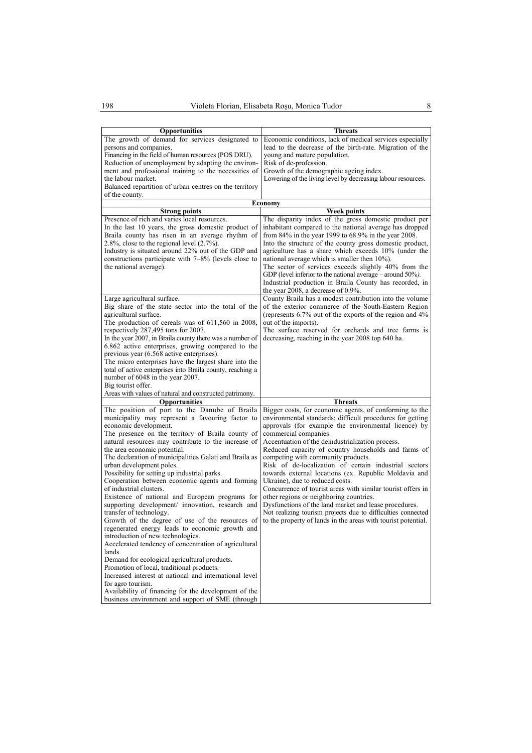| <b>Opportunities</b>                                                                                                                                                                                                                                                                                                                                                                                                                                                                                                                                                                                                                                                                                                                                                                                                                                                                                                                                                                                                                                                                                                              | <b>Threats</b>                                                                                                                                                                                                                                                                                                                                                                                                                                                                                                                                                                                                                                                                                                                                                                                                  |
|-----------------------------------------------------------------------------------------------------------------------------------------------------------------------------------------------------------------------------------------------------------------------------------------------------------------------------------------------------------------------------------------------------------------------------------------------------------------------------------------------------------------------------------------------------------------------------------------------------------------------------------------------------------------------------------------------------------------------------------------------------------------------------------------------------------------------------------------------------------------------------------------------------------------------------------------------------------------------------------------------------------------------------------------------------------------------------------------------------------------------------------|-----------------------------------------------------------------------------------------------------------------------------------------------------------------------------------------------------------------------------------------------------------------------------------------------------------------------------------------------------------------------------------------------------------------------------------------------------------------------------------------------------------------------------------------------------------------------------------------------------------------------------------------------------------------------------------------------------------------------------------------------------------------------------------------------------------------|
| The growth of demand for services designated to<br>persons and companies.<br>Financing in the field of human resources (POS DRU).<br>Reduction of unemployment by adapting the environ-<br>ment and professional training to the necessities of<br>the labour market.<br>Balanced repartition of urban centres on the territory                                                                                                                                                                                                                                                                                                                                                                                                                                                                                                                                                                                                                                                                                                                                                                                                   | Economic conditions, lack of medical services especially<br>lead to the decrease of the birth-rate. Migration of the<br>young and mature population.<br>Risk of de-profession.<br>Growth of the demographic ageing index.<br>Lowering of the living level by decreasing labour resources.                                                                                                                                                                                                                                                                                                                                                                                                                                                                                                                       |
| of the county.                                                                                                                                                                                                                                                                                                                                                                                                                                                                                                                                                                                                                                                                                                                                                                                                                                                                                                                                                                                                                                                                                                                    |                                                                                                                                                                                                                                                                                                                                                                                                                                                                                                                                                                                                                                                                                                                                                                                                                 |
|                                                                                                                                                                                                                                                                                                                                                                                                                                                                                                                                                                                                                                                                                                                                                                                                                                                                                                                                                                                                                                                                                                                                   | Economy                                                                                                                                                                                                                                                                                                                                                                                                                                                                                                                                                                                                                                                                                                                                                                                                         |
| <b>Strong points</b>                                                                                                                                                                                                                                                                                                                                                                                                                                                                                                                                                                                                                                                                                                                                                                                                                                                                                                                                                                                                                                                                                                              | <b>Week points</b>                                                                                                                                                                                                                                                                                                                                                                                                                                                                                                                                                                                                                                                                                                                                                                                              |
| Presence of rich and varies local resources.<br>In the last 10 years, the gross domestic product of<br>Braila county has risen in an average rhythm of<br>2.8%, close to the regional level $(2.7\%)$ .<br>Industry is situated around 22% out of the GDP and<br>constructions participate with $7-8\%$ (levels close to<br>the national average).                                                                                                                                                                                                                                                                                                                                                                                                                                                                                                                                                                                                                                                                                                                                                                                | The disparity index of the gross domestic product per<br>inhabitant compared to the national average has dropped<br>from $84\%$ in the year 1999 to $68.9\%$ in the year 2008.<br>Into the structure of the county gross domestic product,<br>agriculture has a share which exceeds 10% (under the<br>national average which is smaller then 10%).<br>The sector of services exceeds slightly 40% from the<br>GDP (level inferior to the national average $-$ around 50%).<br>Industrial production in Braila County has recorded, in<br>the year 2008, a decrease of $0.9\%$ .                                                                                                                                                                                                                                 |
| Large agricultural surface.                                                                                                                                                                                                                                                                                                                                                                                                                                                                                                                                                                                                                                                                                                                                                                                                                                                                                                                                                                                                                                                                                                       | County Braila has a modest contribution into the volume                                                                                                                                                                                                                                                                                                                                                                                                                                                                                                                                                                                                                                                                                                                                                         |
| Big share of the state sector into the total of the<br>agricultural surface.<br>The production of cereals was of 611,560 in 2008,<br>respectively 287,495 tons for 2007.<br>In the year 2007, in Braila county there was a number of<br>6.862 active enterprises, growing compared to the<br>previous year (6.568 active enterprises).<br>The micro enterprises have the largest share into the<br>total of active enterprises into Braila county, reaching a<br>number of 6048 in the year 2007.                                                                                                                                                                                                                                                                                                                                                                                                                                                                                                                                                                                                                                 | of the exterior commerce of the South-Eastern Region<br>(represents $6.7\%$ out of the exports of the region and $4\%$ )<br>out of the imports).<br>The surface reserved for orchards and tree farms is<br>decreasing, reaching in the year 2008 top 640 ha.                                                                                                                                                                                                                                                                                                                                                                                                                                                                                                                                                    |
| Big tourist offer.                                                                                                                                                                                                                                                                                                                                                                                                                                                                                                                                                                                                                                                                                                                                                                                                                                                                                                                                                                                                                                                                                                                |                                                                                                                                                                                                                                                                                                                                                                                                                                                                                                                                                                                                                                                                                                                                                                                                                 |
| Areas with values of natural and constructed patrimony.                                                                                                                                                                                                                                                                                                                                                                                                                                                                                                                                                                                                                                                                                                                                                                                                                                                                                                                                                                                                                                                                           |                                                                                                                                                                                                                                                                                                                                                                                                                                                                                                                                                                                                                                                                                                                                                                                                                 |
| <b>Opportunities</b>                                                                                                                                                                                                                                                                                                                                                                                                                                                                                                                                                                                                                                                                                                                                                                                                                                                                                                                                                                                                                                                                                                              | <b>Threats</b>                                                                                                                                                                                                                                                                                                                                                                                                                                                                                                                                                                                                                                                                                                                                                                                                  |
| The position of port to the Danube of Braila<br>municipality may represent a favouring factor to<br>economic development.<br>The presence on the territory of Braila county of<br>natural resources may contribute to the increase of<br>the area economic potential.<br>The declaration of municipalities Galati and Braila as<br>urban development poles.<br>Possibility for setting up industrial parks.<br>Cooperation between economic agents and forming<br>of industrial clusters.<br>Existence of national and European programs for<br>supporting development/ innovation, research and<br>transfer of technology.<br>Growth of the degree of use of the resources of<br>regenerated energy leads to economic growth and<br>introduction of new technologies.<br>Accelerated tendency of concentration of agricultural<br>lands.<br>Demand for ecological agricultural products.<br>Promotion of local, traditional products.<br>Increased interest at national and international level<br>for agro tourism.<br>Availability of financing for the development of the<br>business environment and support of SME (through | Bigger costs, for economic agents, of conforming to the<br>environmental standards; difficult procedures for getting<br>approvals (for example the environmental licence) by<br>commercial companies.<br>Accentuation of the deindustrialization process.<br>Reduced capacity of country households and farms of<br>competing with community products.<br>Risk of de-localization of certain industrial sectors<br>towards external locations (ex. Republic Moldavia and<br>Ukraine), due to reduced costs.<br>Concurrence of tourist areas with similar tourist offers in<br>other regions or neighboring countries.<br>Dysfunctions of the land market and lease procedures.<br>Not realizing tourism projects due to difficulties connected<br>to the property of lands in the areas with tourist potential. |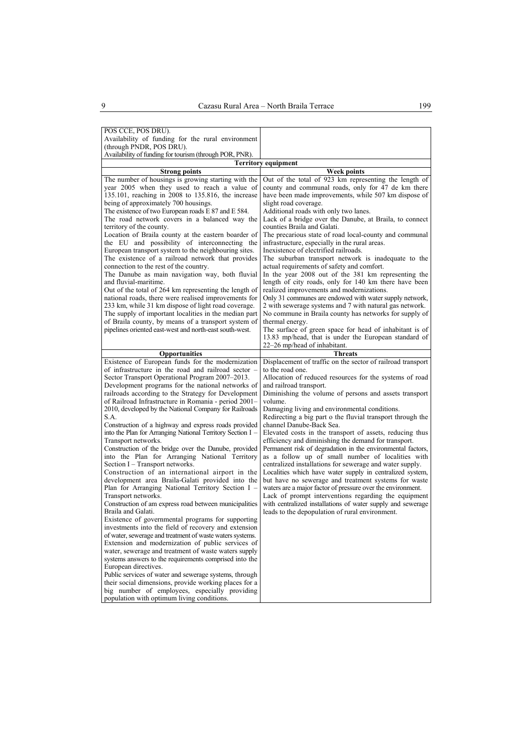| POS CCE, POS DRU).                                                                                        |                                                                                                                     |
|-----------------------------------------------------------------------------------------------------------|---------------------------------------------------------------------------------------------------------------------|
| Availability of funding for the rural environment                                                         |                                                                                                                     |
| (through PNDR, POS DRU).<br>Availability of funding for tourism (through POR, PNR).                       |                                                                                                                     |
|                                                                                                           | <b>Territory equipment</b>                                                                                          |
| <b>Strong points</b>                                                                                      | Week points                                                                                                         |
| The number of housings is growing starting with the                                                       | Out of the total of 923 km representing the length of                                                               |
| year 2005 when they used to reach a value of                                                              | county and communal roads, only for 47 de km there                                                                  |
| 135.101, reaching in 2008 to 135.816, the increase                                                        | have been made improvements, while 507 km dispose of                                                                |
| being of approximately 700 housings.                                                                      | slight road coverage.                                                                                               |
| The existence of two European roads E 87 and E 584.                                                       | Additional roads with only two lanes.                                                                               |
| The road network covers in a balanced way the                                                             | Lack of a bridge over the Danube, at Braila, to connect                                                             |
| territory of the county.                                                                                  | counties Braila and Galati.                                                                                         |
| Location of Braila county at the eastern boarder of                                                       | The precarious state of road local-county and communal                                                              |
| the EU and possibility of interconnecting the                                                             | infrastructure, especially in the rural areas.                                                                      |
| European transport system to the neighbouring sites.<br>The existence of a railroad network that provides | Inexistence of electrified railroads.<br>The suburban transport network is inadequate to the                        |
| connection to the rest of the country.                                                                    | actual requirements of safety and comfort.                                                                          |
| The Danube as main navigation way, both fluvial                                                           | In the year 2008 out of the 381 km representing the                                                                 |
| and fluvial-maritime.                                                                                     | length of city roads, only for 140 km there have been                                                               |
| Out of the total of 264 km representing the length of                                                     | realized improvements and modernizations.                                                                           |
| national roads, there were realised improvements for                                                      | Only 31 communes are endowed with water supply network,                                                             |
| 233 km, while 31 km dispose of light road coverage.                                                       | 2 with sewerage systems and 7 with natural gas network.                                                             |
| The supply of important localities in the median part                                                     | No commune in Braila county has networks for supply of                                                              |
| of Braila county, by means of a transport system of                                                       | thermal energy.                                                                                                     |
| pipelines oriented east-west and north-east south-west.                                                   | The surface of green space for head of inhabitant is of                                                             |
|                                                                                                           | 13.83 mp/head, that is under the European standard of<br>22–26 mp/head of inhabitant.                               |
| <b>Opportunities</b>                                                                                      | <b>Threats</b>                                                                                                      |
| Existence of European funds for the modernization                                                         | Displacement of traffic on the sector of railroad transport                                                         |
| of infrastructure in the road and railroad sector –                                                       | to the road one.                                                                                                    |
| Sector Transport Operational Program 2007-2013.                                                           | Allocation of reduced resources for the systems of road                                                             |
| Development programs for the national networks of                                                         | and railroad transport.                                                                                             |
| railroads according to the Strategy for Development                                                       | Diminishing the volume of persons and assets transport                                                              |
| of Railroad Infrastructure in Romania - period 2001–                                                      | volume.                                                                                                             |
| 2010, developed by the National Company for Railroads                                                     | Damaging living and environmental conditions.                                                                       |
| S.A.<br>Construction of a highway and express roads provided                                              | Redirecting a big part o the fluvial transport through the<br>channel Danube-Back Sea.                              |
| into the Plan for Arranging National Territory Section I -                                                | Elevated costs in the transport of assets, reducing thus                                                            |
| Transport networks.                                                                                       | efficiency and diminishing the demand for transport.                                                                |
| Construction of the bridge over the Danube, provided                                                      | Permanent risk of degradation in the environmental factors,                                                         |
| into the Plan for Arranging National Territory                                                            | as a follow up of small number of localities with                                                                   |
| Section I – Transport networks.                                                                           | centralized installations for sewerage and water supply.                                                            |
| Construction of an international airport in the                                                           | Localities which have water supply in centralized system,                                                           |
| development area Braila-Galati provided into the                                                          | but have no sewerage and treatment systems for waste                                                                |
| Plan for Arranging National Territory Section I -                                                         | waters are a major factor of pressure over the environment.                                                         |
| Transport networks.<br>Construction of am express road between municipalities                             | Lack of prompt interventions regarding the equipment<br>with centralized installations of water supply and sewerage |
| Braila and Galati.                                                                                        | leads to the depopulation of rural environment.                                                                     |
| Existence of governmental programs for supporting                                                         |                                                                                                                     |
| investments into the field of recovery and extension                                                      |                                                                                                                     |
| of water, sewerage and treatment of waste waters systems.                                                 |                                                                                                                     |
| Extension and modernization of public services of                                                         |                                                                                                                     |
| water, sewerage and treatment of waste waters supply                                                      |                                                                                                                     |
| systems answers to the requirements comprised into the                                                    |                                                                                                                     |
| European directives.<br>Public services of water and sewerage systems, through                            |                                                                                                                     |
| their social dimensions, provide working places for a                                                     |                                                                                                                     |
| big number of employees, especially providing                                                             |                                                                                                                     |
| population with optimum living conditions.                                                                |                                                                                                                     |
|                                                                                                           |                                                                                                                     |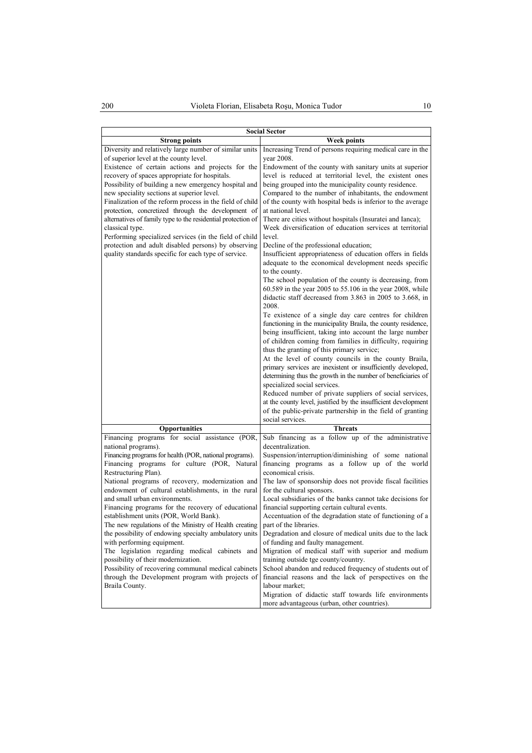| <b>Social Sector</b>                                                                                                                                                                                                                                                                                                                                                                                                                                                                                                                                                                                                                                                                                                                                                                                                        |                                                                                                                                                                                                                                                                                                                                                                                                                                                                                                                                                                                                                                                                                                                                                                                                                                                                                                                                                                                                                                                                                                                                                                                                                                                                                                                              |
|-----------------------------------------------------------------------------------------------------------------------------------------------------------------------------------------------------------------------------------------------------------------------------------------------------------------------------------------------------------------------------------------------------------------------------------------------------------------------------------------------------------------------------------------------------------------------------------------------------------------------------------------------------------------------------------------------------------------------------------------------------------------------------------------------------------------------------|------------------------------------------------------------------------------------------------------------------------------------------------------------------------------------------------------------------------------------------------------------------------------------------------------------------------------------------------------------------------------------------------------------------------------------------------------------------------------------------------------------------------------------------------------------------------------------------------------------------------------------------------------------------------------------------------------------------------------------------------------------------------------------------------------------------------------------------------------------------------------------------------------------------------------------------------------------------------------------------------------------------------------------------------------------------------------------------------------------------------------------------------------------------------------------------------------------------------------------------------------------------------------------------------------------------------------|
| <b>Strong points</b>                                                                                                                                                                                                                                                                                                                                                                                                                                                                                                                                                                                                                                                                                                                                                                                                        | Week points                                                                                                                                                                                                                                                                                                                                                                                                                                                                                                                                                                                                                                                                                                                                                                                                                                                                                                                                                                                                                                                                                                                                                                                                                                                                                                                  |
| Diversity and relatively large number of similar units<br>of superior level at the county level.<br>Existence of certain actions and projects for the<br>recovery of spaces appropriate for hospitals.<br>Possibility of building a new emergency hospital and<br>new speciality sections at superior level.                                                                                                                                                                                                                                                                                                                                                                                                                                                                                                                | Increasing Trend of persons requiring medical care in the<br>year 2008.<br>Endowment of the county with sanitary units at superior<br>level is reduced at territorial level, the existent ones<br>being grouped into the municipality county residence.<br>Compared to the number of inhabitants, the endowment                                                                                                                                                                                                                                                                                                                                                                                                                                                                                                                                                                                                                                                                                                                                                                                                                                                                                                                                                                                                              |
| Finalization of the reform process in the field of child<br>protection, concretized through the development of<br>alternatives of family type to the residential protection of<br>classical type.<br>Performing specialized services (in the field of child<br>protection and adult disabled persons) by observing<br>quality standards specific for each type of service.                                                                                                                                                                                                                                                                                                                                                                                                                                                  | of the county with hospital beds is inferior to the average<br>at national level.<br>There are cities without hospitals (Insuratei and Ianca);<br>Week diversification of education services at territorial<br>level.<br>Decline of the professional education;<br>Insufficient appropriateness of education offers in fields<br>adequate to the economical development needs specific<br>to the county.<br>The school population of the county is decreasing, from<br>60.589 in the year 2005 to 55.106 in the year 2008, while<br>didactic staff decreased from 3.863 in 2005 to 3.668, in<br>2008.<br>Te existence of a single day care centres for children<br>functioning in the municipality Braila, the county residence,<br>being insufficient, taking into account the large number<br>of children coming from families in difficulty, requiring<br>thus the granting of this primary service;<br>At the level of county councils in the county Braila,<br>primary services are inexistent or insufficiently developed,<br>determining thus the growth in the number of beneficiaries of<br>specialized social services.<br>Reduced number of private suppliers of social services,<br>at the county level, justified by the insufficient development<br>of the public-private partnership in the field of granting |
|                                                                                                                                                                                                                                                                                                                                                                                                                                                                                                                                                                                                                                                                                                                                                                                                                             | social services.                                                                                                                                                                                                                                                                                                                                                                                                                                                                                                                                                                                                                                                                                                                                                                                                                                                                                                                                                                                                                                                                                                                                                                                                                                                                                                             |
| Opportunities                                                                                                                                                                                                                                                                                                                                                                                                                                                                                                                                                                                                                                                                                                                                                                                                               | <b>Threats</b><br>Sub financing as a follow up of the administrative                                                                                                                                                                                                                                                                                                                                                                                                                                                                                                                                                                                                                                                                                                                                                                                                                                                                                                                                                                                                                                                                                                                                                                                                                                                         |
| Financing programs for social assistance (POR,<br>national programs).<br>Financing programs for health (POR, national programs).<br>Financing programs for culture (POR, Natural<br>Restructuring Plan).<br>National programs of recovery, modernization and<br>endowment of cultural establishments, in the rural<br>and small urban environments.<br>Financing programs for the recovery of educational<br>establishment units (POR, World Bank).<br>The new regulations of the Ministry of Health creating<br>the possibility of endowing specialty ambulatory units<br>with performing equipment.<br>The legislation regarding medical cabinets and<br>possibility of their modernization.<br>Possibility of recovering communal medical cabinets<br>through the Development program with projects of<br>Braila County. | decentralization.<br>Suspension/interruption/diminishing of some national<br>financing programs as a follow up of the world<br>economical crisis.<br>The law of sponsorship does not provide fiscal facilities<br>for the cultural sponsors.<br>Local subsidiaries of the banks cannot take decisions for<br>financial supporting certain cultural events.<br>Accentuation of the degradation state of functioning of a<br>part of the libraries.<br>Degradation and closure of medical units due to the lack<br>of funding and faulty management.<br>Migration of medical staff with superior and medium<br>training outside tge county/country.<br>School abandon and reduced frequency of students out of<br>financial reasons and the lack of perspectives on the<br>labour market;<br>Migration of didactic staff towards life environments<br>more advantageous (urban, other countries).                                                                                                                                                                                                                                                                                                                                                                                                                              |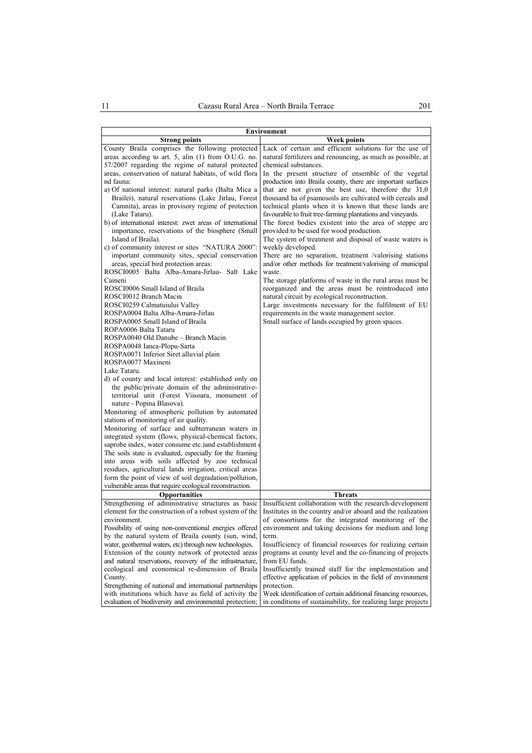| <b>Environment</b>                                                                                                                                                                                                                                                                                  |                                                                                                                                                                                                                                                                                                                                                 |
|-----------------------------------------------------------------------------------------------------------------------------------------------------------------------------------------------------------------------------------------------------------------------------------------------------|-------------------------------------------------------------------------------------------------------------------------------------------------------------------------------------------------------------------------------------------------------------------------------------------------------------------------------------------------|
| <b>Strong points</b>                                                                                                                                                                                                                                                                                | <b>Week points</b>                                                                                                                                                                                                                                                                                                                              |
| County Braila comprises the following protected<br>areas according to art. 5, alin (1) from O.U.G. no.                                                                                                                                                                                              | Lack of certain and efficient solutions for the use of<br>natural fertilizers and renouncing, as much as possible, at                                                                                                                                                                                                                           |
| 57/2007 regarding the regime of natural protected                                                                                                                                                                                                                                                   | chemical substances.                                                                                                                                                                                                                                                                                                                            |
| areas, conservation of natural habitats, of wild flora                                                                                                                                                                                                                                              | In the present structure of ensemble of the vegetal                                                                                                                                                                                                                                                                                             |
| nd fauna:                                                                                                                                                                                                                                                                                           | production into Braila county, there are important surfaces                                                                                                                                                                                                                                                                                     |
| a) Of national interest: natural parks (Balta Mica a<br>Brailei), natural reservations (Lake Jirlau, Forest<br>Camnita), areas in provisory regime of protection<br>(Lake Tataru).<br>b) of international interest: zwet areas of international<br>importance, reservations of the biosphere (Small | that are not given the best use, therefore the 31,0<br>thousand ha of psamosoils are cultivated with cereals and<br>technical plants when it is known that these lands are<br>favourable to fruit tree-farming plantations and vineyards.<br>The forest bodies existent into the area of steppe are<br>provided to be used for wood production. |
| Island of Braila).                                                                                                                                                                                                                                                                                  | The system of treatment and disposal of waste waters is                                                                                                                                                                                                                                                                                         |
| c) of community interest or sites "NATURA 2000":<br>important community sites, special conservation                                                                                                                                                                                                 | weekly developed.<br>There are no separation, treatment /valorising stations                                                                                                                                                                                                                                                                    |
| areas, special bird protection areas:                                                                                                                                                                                                                                                               | and/or other methods for treatment/valorising of municipal                                                                                                                                                                                                                                                                                      |
| ROSCI0005 Balta Alba-Amara-Jirlau- Salt Lake                                                                                                                                                                                                                                                        | waste.                                                                                                                                                                                                                                                                                                                                          |
| Caineni                                                                                                                                                                                                                                                                                             | The storage platforms of waste in the rural areas must be                                                                                                                                                                                                                                                                                       |
| ROSCI0006 Small Island of Braila                                                                                                                                                                                                                                                                    | reorganized and the areas must be reintroduced into                                                                                                                                                                                                                                                                                             |
| ROSCI0012 Branch Macin                                                                                                                                                                                                                                                                              | natural circuit by ecological reconstruction.                                                                                                                                                                                                                                                                                                   |
| ROSCI0259 Calmatuiului Valley                                                                                                                                                                                                                                                                       | Large investments necessary for the fulfilment of EU                                                                                                                                                                                                                                                                                            |
| ROSPA0004 Balta Alba-Amara-Jirlau<br>ROSPA0005 Small Island of Braila                                                                                                                                                                                                                               | requirements in the waste management sector.<br>Small surface of lands occupied by green spaces.                                                                                                                                                                                                                                                |
| ROPA0006 Balta Tataru                                                                                                                                                                                                                                                                               |                                                                                                                                                                                                                                                                                                                                                 |
| ROSPA0040 Old Danube – Branch Macin                                                                                                                                                                                                                                                                 |                                                                                                                                                                                                                                                                                                                                                 |
| ROSPA0048 Ianca-Plopu-Sarta                                                                                                                                                                                                                                                                         |                                                                                                                                                                                                                                                                                                                                                 |
| ROSPA0071 Inferior Siret alluvial plain                                                                                                                                                                                                                                                             |                                                                                                                                                                                                                                                                                                                                                 |
| ROSPA0077 Maxineni                                                                                                                                                                                                                                                                                  |                                                                                                                                                                                                                                                                                                                                                 |
| Lake Tataru.                                                                                                                                                                                                                                                                                        |                                                                                                                                                                                                                                                                                                                                                 |
| d) of county and local interest: established only on<br>the public/private domain of the administrative-<br>territorial unit (Forest Viisoara, monument of<br>nature - Popina Blasova).                                                                                                             |                                                                                                                                                                                                                                                                                                                                                 |
| Monitoring of atmospheric pollution by automated                                                                                                                                                                                                                                                    |                                                                                                                                                                                                                                                                                                                                                 |
| stations of monitoring of air quality.                                                                                                                                                                                                                                                              |                                                                                                                                                                                                                                                                                                                                                 |
| Monitoring of surface and subterranean waters in                                                                                                                                                                                                                                                    |                                                                                                                                                                                                                                                                                                                                                 |
| integrated system (flows, physical-chemical factors,                                                                                                                                                                                                                                                |                                                                                                                                                                                                                                                                                                                                                 |
| saprobe index, water consume etc.) and establishment                                                                                                                                                                                                                                                |                                                                                                                                                                                                                                                                                                                                                 |
| The soils state is evaluated, especially for the framing                                                                                                                                                                                                                                            |                                                                                                                                                                                                                                                                                                                                                 |
| into areas with soils affected by zoo technical<br>residues, agricultural lands irrigation, critical areas                                                                                                                                                                                          |                                                                                                                                                                                                                                                                                                                                                 |
| form the point of view of soil degradation/pollution,                                                                                                                                                                                                                                               |                                                                                                                                                                                                                                                                                                                                                 |
| vulnerable areas that require ecological reconstruction.                                                                                                                                                                                                                                            |                                                                                                                                                                                                                                                                                                                                                 |
| <b>Opportunities</b>                                                                                                                                                                                                                                                                                | <b>Threats</b>                                                                                                                                                                                                                                                                                                                                  |
| Strengthening of administrative structures as basic                                                                                                                                                                                                                                                 | Insufficient collaboration with the research-development                                                                                                                                                                                                                                                                                        |
| element for the construction of a robust system of the                                                                                                                                                                                                                                              | Institutes in the country and/or aboard and the realization                                                                                                                                                                                                                                                                                     |
| environment.                                                                                                                                                                                                                                                                                        | of consortiums for the integrated monitoring of the                                                                                                                                                                                                                                                                                             |
| Possibility of using non-conventional energies offered                                                                                                                                                                                                                                              | environment and taking decisions for medium and long                                                                                                                                                                                                                                                                                            |
| by the natural system of Braila county (sun, wind,<br>water, geothermal waters, etc) through new technologies.                                                                                                                                                                                      | term.<br>Insufficiency of financial resources for realizing certain                                                                                                                                                                                                                                                                             |
| Extension of the county network of protected areas                                                                                                                                                                                                                                                  | programs at county level and the co-financing of projects                                                                                                                                                                                                                                                                                       |
| and natural reservations, recovery of the infrastructure,                                                                                                                                                                                                                                           | from EU funds.                                                                                                                                                                                                                                                                                                                                  |
| ecological and economical re-dimension of Braila                                                                                                                                                                                                                                                    | Insufficiently trained staff for the implementation and                                                                                                                                                                                                                                                                                         |
| County.                                                                                                                                                                                                                                                                                             | effective application of policies in the field of environment                                                                                                                                                                                                                                                                                   |
| Strengthening of national and international partnerships                                                                                                                                                                                                                                            | protection.                                                                                                                                                                                                                                                                                                                                     |
| with institutions which have as field of activity the                                                                                                                                                                                                                                               | Week identification of certain additional financing resources,                                                                                                                                                                                                                                                                                  |
| evaluation of biodiversity and environmental protection;                                                                                                                                                                                                                                            | in conditions of sustainability, for realizing large projects                                                                                                                                                                                                                                                                                   |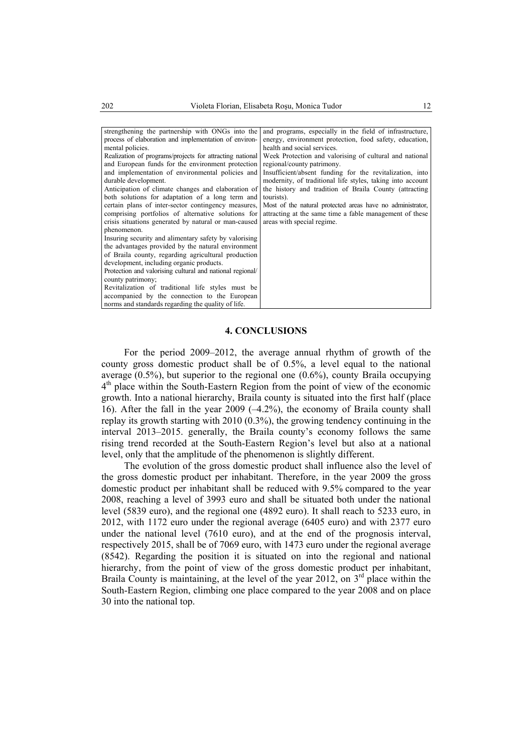| strengthening the partnership with ONGs into the          | and programs, especially in the field of infrastructure,   |
|-----------------------------------------------------------|------------------------------------------------------------|
| process of elaboration and implementation of environ-     | energy, environment protection, food safety, education,    |
| mental policies.                                          | health and social services.                                |
| Realization of programs/projects for attracting national  | Week Protection and valorising of cultural and national    |
| and European funds for the environment protection         | regional/county patrimony.                                 |
| and implementation of environmental policies and          | Insufficient/absent funding for the revitalization, into   |
| durable development.                                      | modernity, of traditional life styles, taking into account |
| Anticipation of climate changes and elaboration of        | the history and tradition of Braila County (attracting     |
| both solutions for adaptation of a long term and          | tourists).                                                 |
| certain plans of inter-sector contingency measures,       | Most of the natural protected areas have no administrator, |
| comprising portfolios of alternative solutions for        | attracting at the same time a fable management of these    |
| crisis situations generated by natural or man-caused      | areas with special regime.                                 |
| phenomenon.                                               |                                                            |
| Insuring security and alimentary safety by valorising     |                                                            |
| the advantages provided by the natural environment        |                                                            |
| of Braila county, regarding agricultural production       |                                                            |
| development, including organic products.                  |                                                            |
| Protection and valorising cultural and national regional/ |                                                            |
| county patrimony;                                         |                                                            |
| Revitalization of traditional life styles must be         |                                                            |
| accompanied by the connection to the European             |                                                            |
| norms and standards regarding the quality of life.        |                                                            |

### **4. CONCLUSIONS**

For the period 2009–2012, the average annual rhythm of growth of the county gross domestic product shall be of 0.5%, a level equal to the national average (0.5%), but superior to the regional one (0.6%), county Braila occupying  $4<sup>th</sup>$  place within the South-Eastern Region from the point of view of the economic growth. Into a national hierarchy, Braila county is situated into the first half (place 16). After the fall in the year 2009 (–4.2%), the economy of Braila county shall replay its growth starting with 2010 (0.3%), the growing tendency continuing in the interval 2013–2015. generally, the Braila county's economy follows the same rising trend recorded at the South-Eastern Region's level but also at a national level, only that the amplitude of the phenomenon is slightly different.

The evolution of the gross domestic product shall influence also the level of the gross domestic product per inhabitant. Therefore, in the year 2009 the gross domestic product per inhabitant shall be reduced with 9.5% compared to the year 2008, reaching a level of 3993 euro and shall be situated both under the national level (5839 euro), and the regional one (4892 euro). It shall reach to 5233 euro, in 2012, with 1172 euro under the regional average (6405 euro) and with 2377 euro under the national level (7610 euro), and at the end of the prognosis interval, respectively 2015, shall be of 7069 euro, with 1473 euro under the regional average (8542). Regarding the position it is situated on into the regional and national hierarchy, from the point of view of the gross domestic product per inhabitant, Braila County is maintaining, at the level of the year 2012, on  $3<sup>rd</sup>$  place within the South-Eastern Region, climbing one place compared to the year 2008 and on place 30 into the national top.